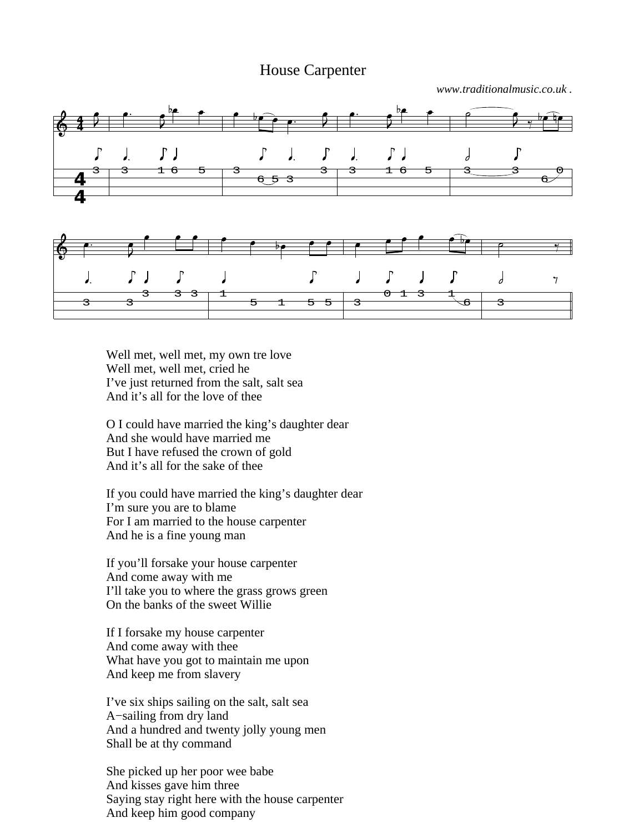## House Carpenter

*www.traditionalmusic.co.uk .*



Well met, well met, my own tre love Well met, well met, cried he I've just returned from the salt, salt sea And it's all for the love of thee

O I could have married the king's daughter dear And she would have married me But I have refused the crown of gold And it's all for the sake of thee

If you could have married the king's daughter dear I'm sure you are to blame For I am married to the house carpenter And he is a fine young man

If you'll forsake your house carpenter And come away with me I'll take you to where the grass grows green On the banks of the sweet Willie

If I forsake my house carpenter And come away with thee What have you got to maintain me upon And keep me from slavery

I've six ships sailing on the salt, salt sea A−sailing from dry land And a hundred and twenty jolly young men Shall be at thy command

She picked up her poor wee babe And kisses gave him three Saying stay right here with the house carpenter And keep him good company